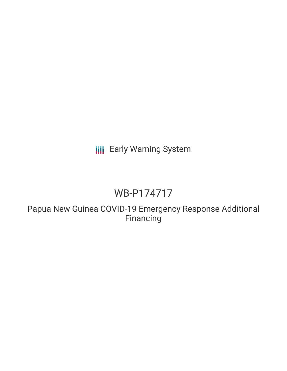# **III** Early Warning System

# WB-P174717

Papua New Guinea COVID-19 Emergency Response Additional Financing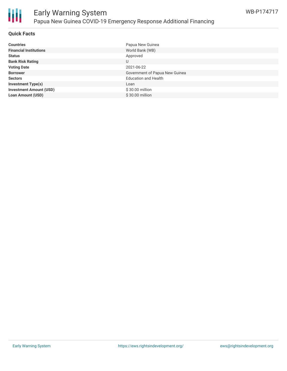

#### **Quick Facts**

| <b>Countries</b>               | Papua New Guinea               |
|--------------------------------|--------------------------------|
| <b>Financial Institutions</b>  | World Bank (WB)                |
| <b>Status</b>                  | Approved                       |
| <b>Bank Risk Rating</b>        | U                              |
| <b>Voting Date</b>             | 2021-06-22                     |
| <b>Borrower</b>                | Government of Papua New Guinea |
| <b>Sectors</b>                 | <b>Education and Health</b>    |
| <b>Investment Type(s)</b>      | Loan                           |
| <b>Investment Amount (USD)</b> | $$30.00$ million               |
| <b>Loan Amount (USD)</b>       | \$30.00 million                |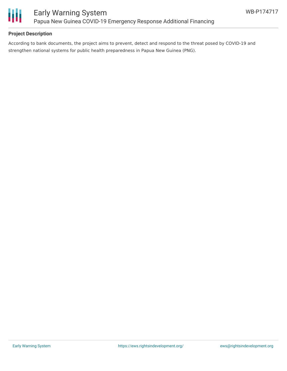

### **Project Description**

According to bank documents, the project aims to prevent, detect and respond to the threat posed by COVID-19 and strengthen national systems for public health preparedness in Papua New Guinea (PNG).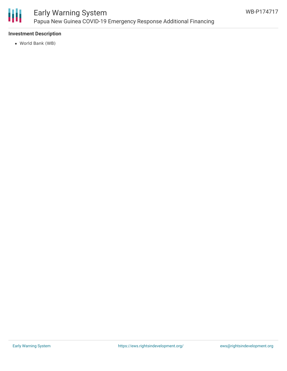

## Early Warning System Papua New Guinea COVID-19 Emergency Response Additional Financing

### **Investment Description**

World Bank (WB)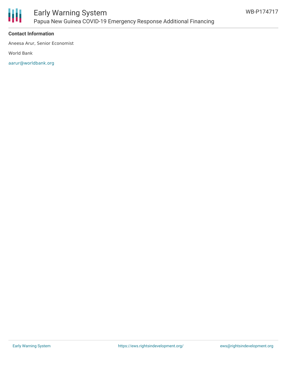

#### **Contact Information**

Aneesa Arur, Senior Economist

World Bank

[aarur@worldbank.org](mailto:aarur@worldbank.org)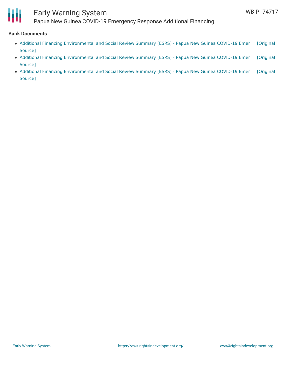

## Early Warning System

Papua New Guinea COVID-19 Emergency Response Additional Financing

#### **Bank Documents**

- Additional Financing [Environmental](https://ewsdata.rightsindevelopment.org/files/documents/17/WB-P174717.pdf) and Social Review Summary (ESRS) Papua New Guinea COVID-19 Emer [Original Source]
- Additional Financing [Environmental](https://ewsdata.rightsindevelopment.org/files/documents/17/WB-P174717_VsPvQpy.pdf) and Social Review Summary (ESRS) Papua New Guinea COVID-19 Emer [Original Source]
- Additional Financing [Environmental](https://ewsdata.rightsindevelopment.org/files/documents/17/WB-P174717_6zEpDGI.pdf) and Social Review Summary (ESRS) Papua New Guinea COVID-19 Emer [Original Source]